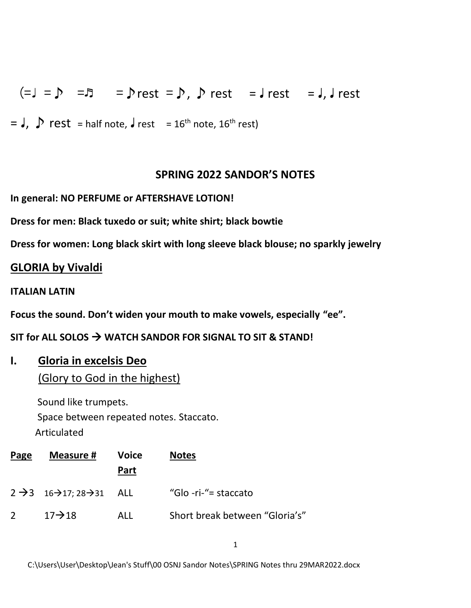(= $J = D$  = $\bar{D}$  = $\bar{D}$  rest = $\bar{D}$ ,  $\bar{D}$  rest = $J$  rest = $J$ ,  $J$  rest

 $=$  J,  $\sum$  rest = half note, J rest = 16<sup>th</sup> note, 16<sup>th</sup> rest)

#### **SPRING 2022 SANDOR'S NOTES**

**In general: NO PERFUME or AFTERSHAVE LOTION!**

**Dress for men: Black tuxedo or suit; white shirt; black bowtie**

**Dress for women: Long black skirt with long sleeve black blouse; no sparkly jewelry** 

#### **GLORIA by Vivaldi**

#### **ITALIAN LATIN**

**Focus the sound. Don't widen your mouth to make vowels, especially "ee".**

**SIT for ALL SOLOS** → **WATCH SANDOR FOR SIGNAL TO SIT & STAND!**

#### **I. Gloria in excelsis Deo**

(Glory to God in the highest)

 Sound like trumpets. Space between repeated notes. Staccato. Articulated

| Page        | Measure #                                                        | <b>Voice</b><br>Part | <b>Notes</b>                   |
|-------------|------------------------------------------------------------------|----------------------|--------------------------------|
|             | $2 \rightarrow 3 \quad 16 \rightarrow 17; 28 \rightarrow 31$ ALL |                      | "Glo -ri-"= staccato           |
| $2^{\circ}$ | $17 \rightarrow 18$                                              | ALL                  | Short break between "Gloria's" |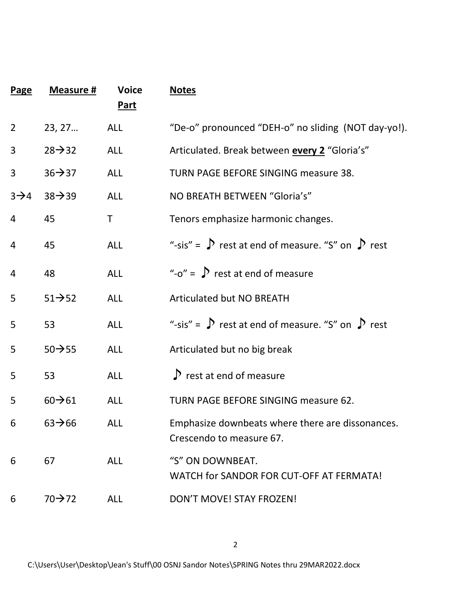| <b>Page</b>      | Measure #           | <b>Voice</b><br><b>Part</b> | <b>Notes</b>                                                                 |
|------------------|---------------------|-----------------------------|------------------------------------------------------------------------------|
| $\overline{2}$   | 23, 27              | <b>ALL</b>                  | "De-o" pronounced "DEH-o" no sliding (NOT day-yo!).                          |
| 3                | $28 \rightarrow 32$ | <b>ALL</b>                  | Articulated. Break between <b>every 2</b> "Gloria's"                         |
| 3                | $36 \rightarrow 37$ | <b>ALL</b>                  | TURN PAGE BEFORE SINGING measure 38.                                         |
| $3\rightarrow 4$ | $38 \rightarrow 39$ | <b>ALL</b>                  | NO BREATH BETWEEN "Gloria's"                                                 |
| 4                | 45                  | T                           | Tenors emphasize harmonic changes.                                           |
| 4                | 45                  | <b>ALL</b>                  | "-sis" = $\sum$ rest at end of measure. "S" on $\sum$ rest                   |
| $\overline{4}$   | 48                  | <b>ALL</b>                  | "- $o$ " = $\int$ rest at end of measure                                     |
| 5                | $51 \rightarrow 52$ | <b>ALL</b>                  | <b>Articulated but NO BREATH</b>                                             |
| 5                | 53                  | <b>ALL</b>                  | "-sis" = $\sum$ rest at end of measure. "S" on $\sum$ rest                   |
| 5                | $50 \rightarrow 55$ | <b>ALL</b>                  | Articulated but no big break                                                 |
| 5                | 53                  | <b>ALL</b>                  | $\sum$ rest at end of measure                                                |
| 5                | $60 \rightarrow 61$ | <b>ALL</b>                  | <b>TURN PAGE BEFORE SINGING measure 62.</b>                                  |
| 6                | $63 \rightarrow 66$ | <b>ALL</b>                  | Emphasize downbeats where there are dissonances.<br>Crescendo to measure 67. |
| 6                | 67                  | <b>ALL</b>                  | "S" ON DOWNBEAT.<br>WATCH for SANDOR FOR CUT-OFF AT FERMATA!                 |
| 6                | 70→72               | <b>ALL</b>                  | DON'T MOVE! STAY FROZEN!                                                     |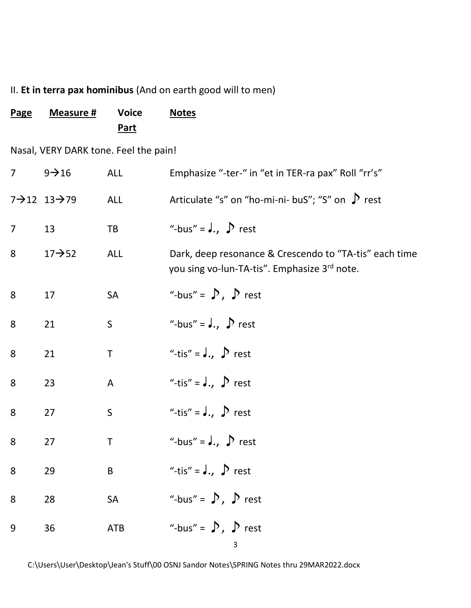# II. **Et in terra pax hominibus** (And on earth good will to men)

| <b>Page</b>    | Measure #                              | <b>Voice</b><br><u>Part</u> | <b>Notes</b>                                                                                           |
|----------------|----------------------------------------|-----------------------------|--------------------------------------------------------------------------------------------------------|
|                | Nasal, VERY DARK tone. Feel the pain!  |                             |                                                                                                        |
| 7 <sup>1</sup> | $9 \rightarrow 16$                     | <b>ALL</b>                  | Emphasize "-ter-" in "et in TER-ra pax" Roll "rr's"                                                    |
|                | $7 \rightarrow 12$ $13 \rightarrow 79$ | <b>ALL</b>                  | Articulate "s" on "ho-mi-ni- buS"; "S" on $\triangleright$ rest                                        |
| $\overline{7}$ | 13                                     | TB                          | "-bus" = $J_{\cdot}$ , $D$ rest                                                                        |
| 8              | $17 \rightarrow 52$                    | <b>ALL</b>                  | Dark, deep resonance & Crescendo to "TA-tis" each time<br>you sing vo-lun-TA-tis". Emphasize 3rd note. |
| 8              | 17                                     | <b>SA</b>                   | "-bus" = $\sum$ , $\sum$ rest                                                                          |
| 8              | 21                                     | $\mathsf S$                 | "-bus" = $J_{1}$ , $\sum$ rest                                                                         |
| 8              | 21                                     | $\top$                      | "-tis" = $J_{1}$ , $D$ rest                                                                            |
| 8              | 23                                     | A                           | "-tis" = $J_{1}$ , $D$ rest                                                                            |
| 8              | 27                                     | $\mathsf S$                 | "-tis" = $J_{1}$ , $D$ rest                                                                            |
| 8              | 27                                     | Τ                           | "-bus" = $J_{1}$ , $\sum$ rest                                                                         |
| 8              | 29                                     | $\sf B$                     | "-tis" = $J_{1}$ , $D$ rest                                                                            |
| 8              | 28                                     | SA                          | "-bus" = $\sum$ , $\sum$ rest                                                                          |
| 9              | 36                                     | <b>ATB</b>                  | "-bus" = $\sum$ , $\sum$ rest<br>3                                                                     |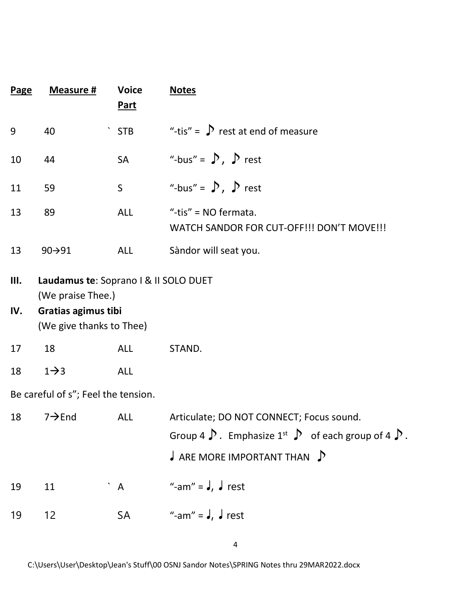| <b>Page</b> | <b>Measure #</b>                                           | <b>Voice</b><br><u>Part</u> | <b>Notes</b>                                                                                                                                                                                     |
|-------------|------------------------------------------------------------|-----------------------------|--------------------------------------------------------------------------------------------------------------------------------------------------------------------------------------------------|
| 9           | 40                                                         | <b>STB</b>                  | "-tis" = $\sum$ rest at end of measure                                                                                                                                                           |
| 10          | 44                                                         | <b>SA</b>                   | "-bus" = $\sum$ , $\sum$ rest                                                                                                                                                                    |
| 11          | 59                                                         | $\mathsf S$                 | "-bus" = $\sum$ , $\sum$ rest                                                                                                                                                                    |
| 13          | 89                                                         | <b>ALL</b>                  | "-tis" = $NO$ fermata.<br>WATCH SANDOR FOR CUT-OFF!!! DON'T MOVE!!!                                                                                                                              |
| 13          | 90→91                                                      | <b>ALL</b>                  | Sàndor will seat you.                                                                                                                                                                            |
| Ш.<br>IV.   | Laudamus te: Soprano I & II SOLO DUET<br>(We praise Thee.) |                             |                                                                                                                                                                                                  |
|             | Gratias agimus tibi<br>(We give thanks to Thee)            |                             |                                                                                                                                                                                                  |
| 17          | 18                                                         | <b>ALL</b>                  | STAND.                                                                                                                                                                                           |
| 18          | $1\rightarrow 3$                                           | <b>ALL</b>                  |                                                                                                                                                                                                  |
|             | Be careful of s"; Feel the tension.                        |                             |                                                                                                                                                                                                  |
| 18          | $7 \rightarrow$ End                                        | ALL                         | Articulate; DO NOT CONNECT; Focus sound.<br>Group 4 $\triangleright$ . Emphasize 1 <sup>st</sup> $\triangleright$ of each group of 4 $\triangleright$ .<br>$\int$ ARE MORE IMPORTANT THAN $\int$ |
| 19          | 11                                                         | $^{\circ}$ A                | "-am" = $J, J$ rest                                                                                                                                                                              |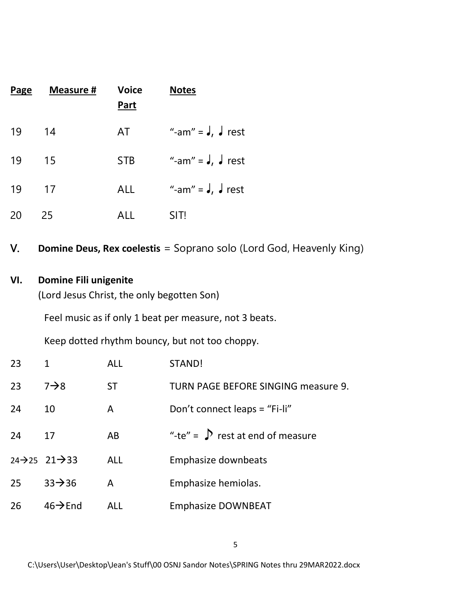| <b>Page</b>         | Measure #                                                                  | <b>Voice</b><br><b>Part</b> | <b>Notes</b>                                                               |  |  |
|---------------------|----------------------------------------------------------------------------|-----------------------------|----------------------------------------------------------------------------|--|--|
| 19                  | 14                                                                         | AT                          | "-am" = $J, J$ rest                                                        |  |  |
| 19                  | 15                                                                         | <b>STB</b>                  | "-am" = $J, J$ rest                                                        |  |  |
| 19                  | 17                                                                         | ALL                         | "-am" = $J, J$ rest                                                        |  |  |
| 20                  | 25                                                                         | <b>ALL</b>                  | SIT!                                                                       |  |  |
| V.                  |                                                                            |                             | <b>Domine Deus, Rex coelestis</b> = Soprano solo (Lord God, Heavenly King) |  |  |
| VI.                 | <b>Domine Fili unigenite</b><br>(Lord Jesus Christ, the only begotten Son) |                             |                                                                            |  |  |
|                     | Feel music as if only 1 beat per measure, not 3 beats.                     |                             |                                                                            |  |  |
|                     |                                                                            |                             | Keep dotted rhythm bouncy, but not too choppy.                             |  |  |
| 23                  | $\mathbf{1}$                                                               | <b>ALL</b>                  | STAND!                                                                     |  |  |
| 23                  | $7\rightarrow 8$                                                           | <b>ST</b>                   | <b>TURN PAGE BEFORE SINGING measure 9.</b>                                 |  |  |
| 24                  | 10                                                                         | A                           | Don't connect leaps = "Fi-li"                                              |  |  |
| 24                  | 17                                                                         | AB                          | "-te" = $\int$ rest at end of measure                                      |  |  |
| $24 \rightarrow 25$ | $21 \rightarrow 33$                                                        | <b>ALL</b>                  | Emphasize downbeats                                                        |  |  |
| 25                  | $33 \rightarrow 36$                                                        | A                           | Emphasize hemiolas.                                                        |  |  |
| 26                  | $46 \rightarrow$ End                                                       | <b>ALL</b>                  | <b>Emphasize DOWNBEAT</b>                                                  |  |  |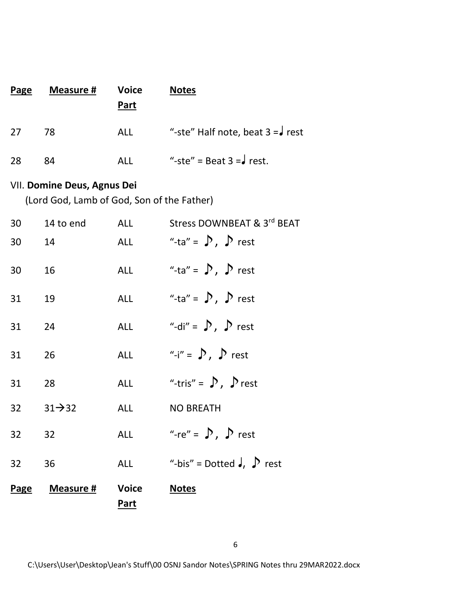| Page | Measure # | <b>Voice</b><br>Part | <b>Notes</b>                                         |
|------|-----------|----------------------|------------------------------------------------------|
| 27   | 78        | ALL                  | "-ste" Half note, beat $3 = \sqrt{\phantom{a}}$ rest |
| 28   | 84        | ALL                  | "-ste" = Beat $3 = \sqrt{\phantom{0}}$ rest.         |

#### VII. **Domine Deus, Agnus Dei**

(Lord God, Lamb of God, Son of the Father)

| <b>Page</b> | <u>Measure #</u>      | <b>Voice</b><br><u>Part</u> | <b>Notes</b>                     |
|-------------|-----------------------|-----------------------------|----------------------------------|
| 32          | 36                    | <b>ALL</b>                  | "-bis" = Dotted $J, \n\int$ rest |
| 32 32       |                       | <b>ALL</b>                  | "-re" = $\sum$ , $\sum$ rest     |
|             | 32 $31\rightarrow 32$ | <b>ALL</b>                  | <b>NO BREATH</b>                 |
| 31          | 28                    | <b>ALL</b>                  | "-tris" = $\sum$ , $\sum$ rest   |
| 31          | 26                    | <b>ALL</b>                  | "-i" = $\sum$ , $\sum$ rest      |
| 31          | 24                    | <b>ALL</b>                  | "-di" = $\sum$ , $\sum$ rest     |
| 31          | 19                    | ALL                         | "-ta" = $\sum$ , $\sum$ rest     |
| 30          | 16                    | <b>ALL</b>                  | "-ta" = $\sum$ , $\sum$ rest     |
| 30          | 14                    | <b>ALL</b>                  | "-ta" = $\sum$ , $\sum$ rest     |
| 30          | 14 to end             | <b>ALL</b>                  | Stress DOWNBEAT & 3rd BEAT       |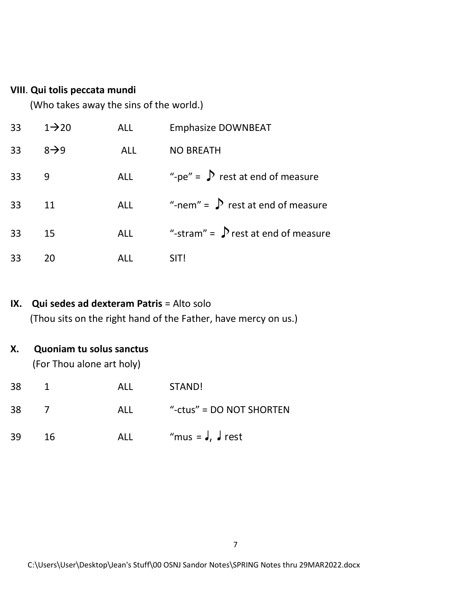#### **VIII**. **Qui tolis peccata mundi**

(Who takes away the sins of the world.)

| 33 | $1 \rightarrow 20$ | <b>ALL</b> | <b>Emphasize DOWNBEAT</b>                |
|----|--------------------|------------|------------------------------------------|
| 33 | $8 \rightarrow 9$  | <b>ALL</b> | <b>NO BREATH</b>                         |
| 33 | 9                  | ALL        | "-pe" = $\int$ rest at end of measure    |
| 33 | 11                 | <b>ALL</b> | "-nem" = $\sum$ rest at end of measure   |
| 33 | 15                 | <b>ALL</b> | "-stram" = $\int$ rest at end of measure |
| 33 | 20                 | ALL        | SIT!                                     |

# **IX. Qui sedes ad dexteram Patris** = Alto solo (Thou sits on the right hand of the Father, have mercy on us.)

# **X. Quoniam tu solus sanctus**

(For Thou alone art holy)

| 38 | $\overline{1}$ | ALL | STAND!                     |
|----|----------------|-----|----------------------------|
| 38 |                | ALL | "-ctus" = $DO NOT SHORTEN$ |
| 39 | 16             | ALL | "mus = $J, J$ rest         |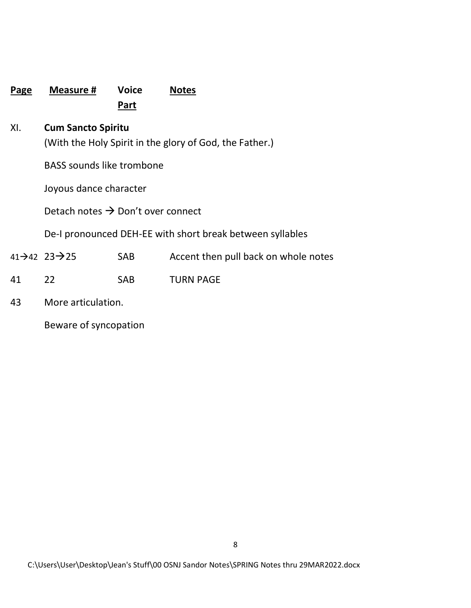| <b>Page</b> | <b>Measure #</b>                                                                     | <b>Voice</b><br>Part | <b>Notes</b>                                              |  |  |
|-------------|--------------------------------------------------------------------------------------|----------------------|-----------------------------------------------------------|--|--|
| XI.         | <b>Cum Sancto Spiritu</b><br>(With the Holy Spirit in the glory of God, the Father.) |                      |                                                           |  |  |
|             | <b>BASS sounds like trombone</b>                                                     |                      |                                                           |  |  |
|             | Joyous dance character                                                               |                      |                                                           |  |  |
|             | Detach notes $\rightarrow$ Don't over connect                                        |                      |                                                           |  |  |
|             |                                                                                      |                      | De-I pronounced DEH-EE with short break between syllables |  |  |
|             | 41 $\rightarrow$ 42 23 $\rightarrow$ 25                                              | <b>SAB</b>           | Accent then pull back on whole notes                      |  |  |
| 41          | 22                                                                                   | <b>SAB</b>           | <b>TURN PAGE</b>                                          |  |  |
| 43          | More articulation.                                                                   |                      |                                                           |  |  |

Beware of syncopation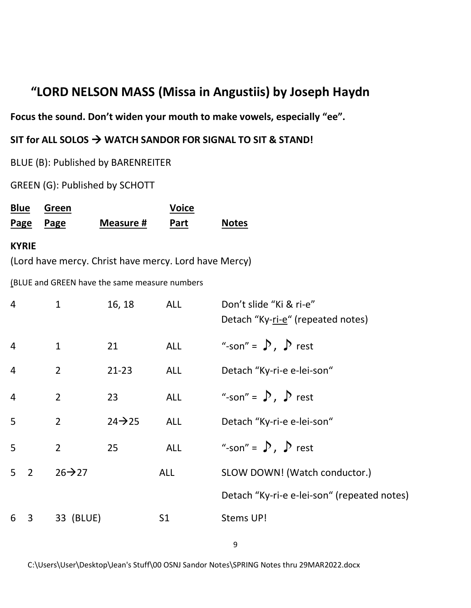# **"LORD NELSON MASS (Missa in Angustiis) by Joseph Haydn**

**Focus the sound. Don't widen your mouth to make vowels, especially "ee".**

**SIT for ALL SOLOS** → **WATCH SANDOR FOR SIGNAL TO SIT & STAND!**

BLUE (B): Published by BARENREITER

GREEN (G): Published by SCHOTT

| <b>Blue</b> | Green     |           | <b>Voice</b> |              |
|-------------|-----------|-----------|--------------|--------------|
|             | Page Page | Measure # | Part         | <b>Notes</b> |

#### **KYRIE**

(Lord have mercy. Christ have mercy. Lord have Mercy)

(BLUE and GREEN have the same measure numbers

| 4              |                | $\mathbf{1}$        | 16, 18              | <b>ALL</b>     | Don't slide "Ki & ri-e"<br>Detach "Ky-ri-e" (repeated notes) |
|----------------|----------------|---------------------|---------------------|----------------|--------------------------------------------------------------|
| $\overline{4}$ |                | $\mathbf{1}$        | 21                  | <b>ALL</b>     | "-son" = $\sum$ , $\sum$ rest                                |
| $\overline{4}$ |                | $\overline{2}$      | $21 - 23$           | <b>ALL</b>     | Detach "Ky-ri-e e-lei-son"                                   |
| $\overline{4}$ |                | $\overline{2}$      | 23                  | <b>ALL</b>     | "-son" = $\sum$ , $\sum$ rest                                |
| 5              |                | $\overline{2}$      | $24 \rightarrow 25$ | <b>ALL</b>     | Detach "Ky-ri-e e-lei-son"                                   |
| 5              |                | $\overline{2}$      | 25                  | ALL            | "-son" = $\sum$ , $\sum$ rest                                |
| 5 <sup>1</sup> | $\overline{2}$ | $26 \rightarrow 27$ |                     | <b>ALL</b>     | SLOW DOWN! (Watch conductor.)                                |
|                |                |                     |                     |                | Detach "Ky-ri-e e-lei-son" (repeated notes)                  |
| 6              | $\mathbf{3}$   | 33 (BLUE)           |                     | S <sub>1</sub> | Stems UP!                                                    |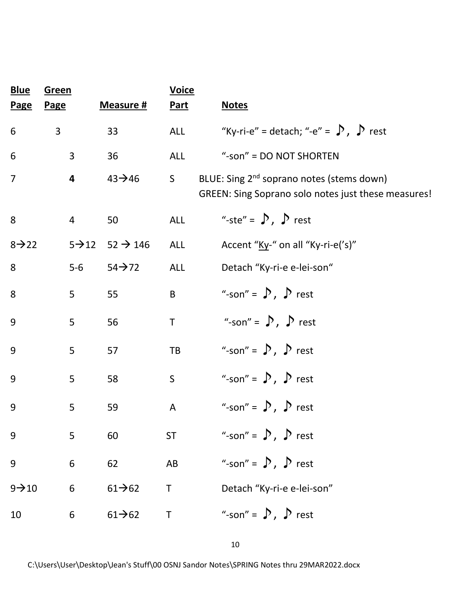| <b>Blue</b><br><b>Page</b> | Green<br><b>Page</b> |                | Measure #                               | <b>Voice</b><br><b>Part</b> | <b>Notes</b>                                                                                                 |
|----------------------------|----------------------|----------------|-----------------------------------------|-----------------------------|--------------------------------------------------------------------------------------------------------------|
| 6                          | $\mathbf{3}$         |                | 33                                      | ALL                         | "Ky-ri-e" = detach; "-e" = $\sum$ , $\sum$ rest                                                              |
| 6                          |                      | $\mathbf{3}$   | 36                                      | ALL                         | "-son" = DO NOT SHORTEN                                                                                      |
| $\overline{7}$             |                      | 4              | $43 \rightarrow 46$                     | S                           | BLUE: Sing 2 <sup>nd</sup> soprano notes (stems down)<br>GREEN: Sing Soprano solo notes just these measures! |
| 8                          |                      | $\overline{4}$ | 50                                      | <b>ALL</b>                  | "-ste" = $\sum$ , $\sum$ rest                                                                                |
| $8 \rightarrow 22$         |                      |                | $5 \rightarrow 12$ $52 \rightarrow 146$ | <b>ALL</b>                  | Accent "Ky-" on all "Ky-ri-e('s)"                                                                            |
| 8                          |                      | $5-6$          | $54 \rightarrow 72$                     | <b>ALL</b>                  | Detach "Ky-ri-e e-lei-son"                                                                                   |
| 8                          |                      | 5 <sup>1</sup> | 55                                      | B <sub>1</sub>              | "-son" = $\sum$ , $\sum$ rest                                                                                |
| 9                          |                      | 5              | 56                                      | $\mathsf T$                 | "-son" = $\sum$ , $\sum$ rest                                                                                |
| 9                          |                      | 5              | 57                                      | TB                          | "-son" = $\sum$ , $\sum$ rest                                                                                |
| 9                          |                      | 5              | 58                                      | S                           | "-son" = $\sum$ , $\sum$ rest                                                                                |
| 9                          |                      | 5              | 59                                      | $\mathsf{A}$                | "-son" = $\sum$ , $\sum$ rest                                                                                |
| 9                          |                      | 5              | 60                                      | <b>ST</b>                   | "-son" = $\sum$ , $\sum$ rest                                                                                |
| 9                          |                      | 6              | 62                                      | AB                          | "-son" = $\sum$ , $\sum$ rest                                                                                |
| $9 - 10$                   |                      | 6              | $61 \rightarrow 62$                     | Τ                           | Detach "Ky-ri-e e-lei-son"                                                                                   |
| 10                         |                      | 6              | $61 \rightarrow 62$                     | T                           | "-son" = $\sum$ , $\sum$ rest                                                                                |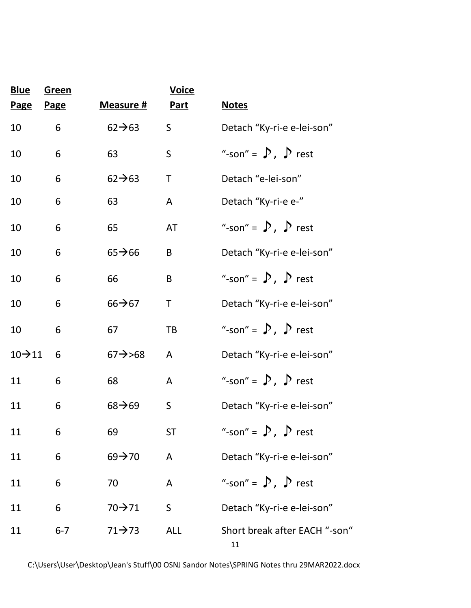| <b>Blue</b>         | <b>Green</b> |                     | <b>Voice</b> |                                     |
|---------------------|--------------|---------------------|--------------|-------------------------------------|
| <b>Page</b>         | <b>Page</b>  | Measure #           | <b>Part</b>  | <b>Notes</b>                        |
| 10                  | 6            | $62 \rightarrow 63$ | S            | Detach "Ky-ri-e e-lei-son"          |
| 10                  | 6            | 63                  | S            | "-son" = $\sum$ , $\sum$ rest       |
| 10                  | 6            | $62 \rightarrow 63$ | $\mathsf T$  | Detach "e-lei-son"                  |
| 10                  | 6            | 63                  | A            | Detach "Ky-ri-e e-"                 |
| 10                  | 6            | 65                  | AT           | "-son" = $\sum$ , $\sum$ rest       |
| 10                  | 6            | $65 \rightarrow 66$ | B            | Detach "Ky-ri-e e-lei-son"          |
| 10                  | 6            | 66                  | B            | "-son" = $\sum$ , $\sum$ rest       |
| 10                  | 6            | $66 \rightarrow 67$ | Τ            | Detach "Ky-ri-e e-lei-son"          |
| 10                  | 6            | 67                  | TB           | "-son" = $\sum$ , $\sum$ rest       |
| $10 \rightarrow 11$ | 6            | $67 \rightarrow 68$ | A            | Detach "Ky-ri-e e-lei-son"          |
| 11                  | 6            | 68                  | A            | "-son" = $\sum$ , $\sum$ rest       |
| 11                  | 6            | $68 \rightarrow 69$ | $\mathsf S$  | Detach "Ky-ri-e e-lei-son"          |
| 11                  | 6            | 69                  | <b>ST</b>    | "-son" = $\sum$ , $\sum$ rest       |
| 11                  | 6            | $69 \rightarrow 70$ | A            | Detach "Ky-ri-e e-lei-son"          |
| 11                  | 6            | 70                  | A            | "-son" = $\sum$ , $\sum$ rest       |
| 11                  | 6            | 70→71               | $\mathsf S$  | Detach "Ky-ri-e e-lei-son"          |
| 11                  | $6 - 7$      | $71 \rightarrow 73$ | <b>ALL</b>   | Short break after EACH "-son"<br>11 |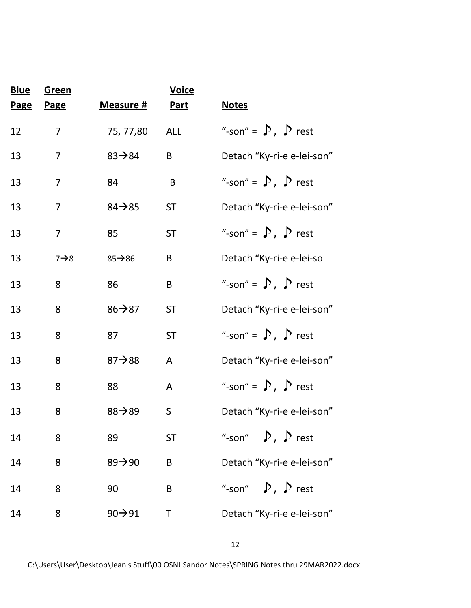| <b>Blue</b><br><b>Page</b> | Green<br><b>Page</b> | Measure #           | <b>Voice</b><br><b>Part</b> | <b>Notes</b>                  |
|----------------------------|----------------------|---------------------|-----------------------------|-------------------------------|
| 12                         | $\overline{7}$       | 75, 77,80           | <b>ALL</b>                  | "-son" = $\sum$ , $\sum$ rest |
| 13                         | $\overline{7}$       | $83 - 84$           | B                           | Detach "Ky-ri-e e-lei-son"    |
| 13                         | $\overline{7}$       | 84                  | B                           | "-son" = $\sum$ , $\sum$ rest |
| 13                         | 7                    | $84 \rightarrow 85$ | <b>ST</b>                   | Detach "Ky-ri-e e-lei-son"    |
| 13                         | $\overline{7}$       | 85                  | <b>ST</b>                   | "-son" = $\sum$ , $\sum$ rest |
| 13                         | $7 \rightarrow 8$    | $85 - 86$           | B                           | Detach "Ky-ri-e e-lei-so      |
| 13                         | 8                    | 86                  | B                           | "-son" = $\sum$ , $\sum$ rest |
| 13                         | 8                    | $86 \rightarrow 87$ | <b>ST</b>                   | Detach "Ky-ri-e e-lei-son"    |
| 13                         | 8                    | 87                  | <b>ST</b>                   | "-son" = $\sum$ , $\sum$ rest |
| 13                         | 8                    | $87 \rightarrow 88$ | A                           | Detach "Ky-ri-e e-lei-son"    |
| 13                         | 8                    | 88                  | A                           | "-son" = $\sum$ , $\sum$ rest |
| 13                         | 8                    | $88 \rightarrow 89$ | S                           | Detach "Ky-ri-e e-lei-son"    |
| 14                         | 8                    | 89                  | <b>ST</b>                   | "-son" = $\sum$ , $\sum$ rest |
| 14                         | 8                    | $89 \rightarrow 90$ | B                           | Detach "Ky-ri-e e-lei-son"    |
| 14                         | 8                    | 90                  | B                           | "-son" = $\sum$ , $\sum$ rest |
| 14                         | 8                    | $90 \rightarrow 91$ | Τ                           | Detach "Ky-ri-e e-lei-son"    |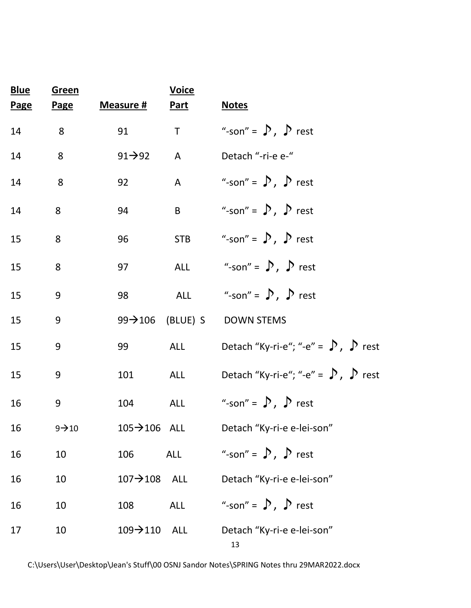| <b>Blue</b><br><b>Page</b> | <b>Green</b><br><b>Page</b> | Measure #                 | <b>Voice</b><br><b>Part</b> | <b>Notes</b>                                                          |
|----------------------------|-----------------------------|---------------------------|-----------------------------|-----------------------------------------------------------------------|
| 14                         | 8                           | 91                        | $\mathsf T$                 | "-son" = $\sum$ , $\sum$ rest                                         |
| 14                         | 8                           | $91 \rightarrow 92$       | $\mathsf{A}$                | Detach "-ri-e e-"                                                     |
| 14                         | 8                           | 92                        | $\mathsf{A}$                | "-son" = $\sum$ , $\sum$ rest                                         |
| 14                         | 8                           | 94                        | B <sub>1</sub>              | "-son" = $\sum$ , $\sum$ rest                                         |
| 15                         | 8                           | 96                        |                             | STB "-son" = $\sum$ , $\sum$ rest                                     |
| 15                         | 8                           | 97                        |                             | ALL "-son" = $\sum$ , $\sum$ rest                                     |
| 15                         | 9                           | 98                        |                             | ALL "-son" = $\int$ , $\int$ rest                                     |
| 15                         | 9                           |                           |                             | 99→106 (BLUE) S DOWN STEMS                                            |
| 15                         | 9                           | 99                        | ALL                         | Detach "Ky-ri-e"; "-e" = $\bigtriangledown$ , $\bigtriangledown$ rest |
| 15                         | 9                           | 101                       | ALL                         | Detach "Ky-ri-e"; "-e" = $\bigtriangledown$ , $\bigtriangledown$ rest |
| 16                         | 9                           | 104                       | ALL                         | "-son" = $\sum$ , $\sum$ rest                                         |
| 16                         | $9 \rightarrow 10$          | $105 \rightarrow 106$ ALL |                             | Detach "Ky-ri-e e-lei-son"                                            |
| 16                         | 10                          | 106                       | <b>ALL</b>                  | "-son" = $\sum$ , $\sum$ rest                                         |
| 16                         | 10                          | $107 \rightarrow 108$     | ALL                         | Detach "Ky-ri-e e-lei-son"                                            |
| 16                         | 10                          | 108                       | <b>ALL</b>                  | "-son" = $\sum$ , $\sum$ rest                                         |
| 17                         | 10                          | $109 \rightarrow 110$     | <b>ALL</b>                  | Detach "Ky-ri-e e-lei-son"<br>13                                      |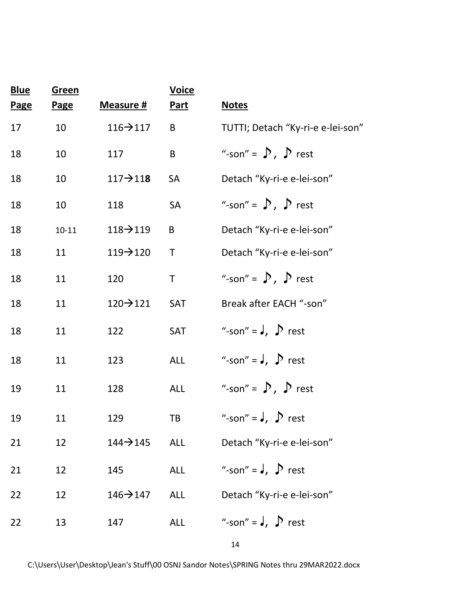| <b>Blue</b> | <b>Green</b> |                       | <b>Voice</b> |                                   |
|-------------|--------------|-----------------------|--------------|-----------------------------------|
| <b>Page</b> | <b>Page</b>  | Measure #             | <b>Part</b>  | <b>Notes</b>                      |
| 17          | 10           | $116 \rightarrow 117$ | B            | TUTTI; Detach "Ky-ri-e e-lei-son" |
| 18          | 10           | 117                   | B            | "-son" = $\sum$ , $\sum$ rest     |
| 18          | 10           | $117 - 118$           | <b>SA</b>    | Detach "Ky-ri-e e-lei-son"        |
| 18          | 10           | 118                   | SA           | "-son" = $\sum$ , $\sum$ rest     |
| 18          | $10 - 11$    | $118 \rightarrow 119$ | B            | Detach "Ky-ri-e e-lei-son"        |
| 18          | 11           | $119 - 120$           | Τ            | Detach "Ky-ri-e e-lei-son"        |
| 18          | 11           | 120                   | $\mathsf T$  | "-son" = $\sum$ , $\sum$ rest     |
| 18          | 11           | $120 \rightarrow 121$ | SAT          | Break after EACH "-son"           |
| 18          | 11           | 122                   | SAT          | "-son" = $J$ , $\sum$ rest        |
| 18          | 11           | 123                   | <b>ALL</b>   | "-son" = $J$ , $\sum$ rest        |
| 19          | 11           | 128                   | <b>ALL</b>   | "-son" = $\sum$ , $\sum$ rest     |
| 19          | 11           | 129                   | TB           | "-son" = $J$ , $\sum$ rest        |
| 21          | 12           | $144 - 145$           | <b>ALL</b>   | Detach "Ky-ri-e e-lei-son"        |
| 21          | 12           | 145                   | <b>ALL</b>   | "-son" = $J$ , $D$ rest           |
| 22          | 12           | $146 \rightarrow 147$ | <b>ALL</b>   | Detach "Ky-ri-e e-lei-son"        |
| 22          | 13           | 147                   | <b>ALL</b>   | "-son" = $J$ , $\sum$ rest        |
|             |              |                       |              |                                   |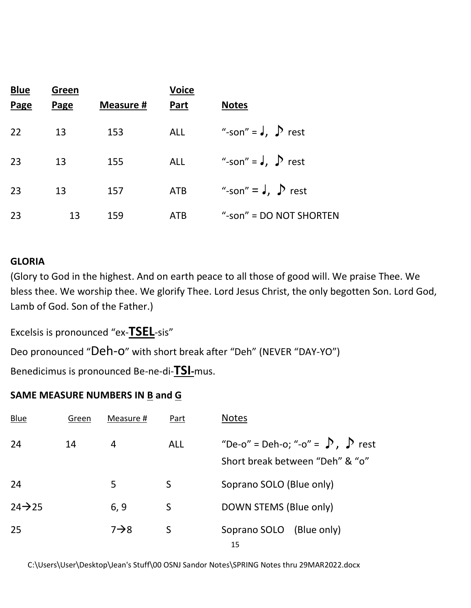| <b>Blue</b> | Green |                  | <b>Voice</b> |                            |
|-------------|-------|------------------|--------------|----------------------------|
| Page        | Page  | <b>Measure #</b> | <b>Part</b>  | <b>Notes</b>               |
| 22          | 13    | 153              | <b>ALL</b>   | "-son" = $J$ , $D$ rest    |
| 23          | 13    | 155              | ALL          | "-son" = $J$ , $\sum$ rest |
| 23          | 13    | 157              | <b>ATB</b>   | "-son" = $J$ , $\sum$ rest |
| 23          | 13    | 159              | <b>ATB</b>   | "-son" = $DO NOT SHORTEN$  |

#### **GLORIA**

(Glory to God in the highest. And on earth peace to all those of good will. We praise Thee. We bless thee. We worship thee. We glorify Thee. Lord Jesus Christ, the only begotten Son. Lord God, Lamb of God. Son of the Father.)

Excelsis is pronounced "ex-**TSEL**-sis"

Deo pronounced "Deh-o" with short break after "Deh" (NEVER "DAY-YO")

Benedicimus is pronounced Be-ne-di-**TSI-**mus.

### **SAME MEASURE NUMBERS IN B and G**

| <b>Blue</b>         | Green | Measure #        | Part       | <b>Notes</b>                                                                   |
|---------------------|-------|------------------|------------|--------------------------------------------------------------------------------|
| 24                  | 14    | 4                | <b>ALL</b> | "De-o" = Deh-o; "-o" = $\sum$ , $\sum$ rest<br>Short break between "Deh" & "o" |
| 24                  |       | 5                | S          | Soprano SOLO (Blue only)                                                       |
| $24 \rightarrow 25$ |       | 6, 9             | S          | DOWN STEMS (Blue only)                                                         |
| 25                  |       | $7\rightarrow 8$ | S          | Soprano SOLO (Blue only)<br>15                                                 |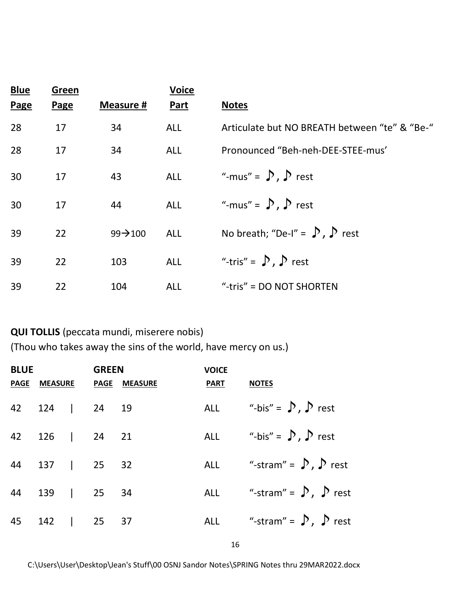| <b>Blue</b> | Green |                      | <b>Voice</b> |                                               |
|-------------|-------|----------------------|--------------|-----------------------------------------------|
| Page        | Page  | <b>Measure #</b>     | <b>Part</b>  | <b>Notes</b>                                  |
| 28          | 17    | 34                   | <b>ALL</b>   | Articulate but NO BREATH between "te" & "Be-" |
| 28          | 17    | 34                   | <b>ALL</b>   | Pronounced "Beh-neh-DEE-STEE-mus"             |
| 30          | 17    | 43                   | <b>ALL</b>   | "-mus" = $\sum$ , $\sum$ rest                 |
| 30          | 17    | 44                   | <b>ALL</b>   | "-mus" = $\sum$ , $\sum$ rest                 |
| 39          | 22    | $99 \rightarrow 100$ | <b>ALL</b>   | No breath; "De-I" = $\sum$ , $\sum$ rest      |
| 39          | 22    | 103                  | <b>ALL</b>   | "-tris" = $\sum$ , $\sum$ rest                |
| 39          | 22    | 104                  | <b>ALL</b>   | "-tris" = $DO NOT SHORTEN$                    |

**QUI TOLLIS** (peccata mundi, miserere nobis) (Thou who takes away the sins of the world, have mercy on us.)

| <b>BLUE</b>    | <b>GREEN</b> |                           | <b>VOICE</b> |                                     |
|----------------|--------------|---------------------------|--------------|-------------------------------------|
|                |              | PAGE MEASURE PAGE MEASURE | PART NOTES   |                                     |
| 42 124   24 19 |              |                           |              | ALL "-bis" = $\int$ , $\int$ rest   |
| 42 126   24 21 |              |                           |              | ALL "-bis" = $\int$ , $\int$ rest   |
| 44 137   25 32 |              |                           |              | ALL "-stram" = $\int$ , $\int$ rest |
| 44 139   25 34 |              |                           |              | ALL "-stram" = $\sum$ , $\sum$ rest |
| 45 142   25 37 |              |                           |              | ALL "-stram" = $\sum$ , $\sum$ rest |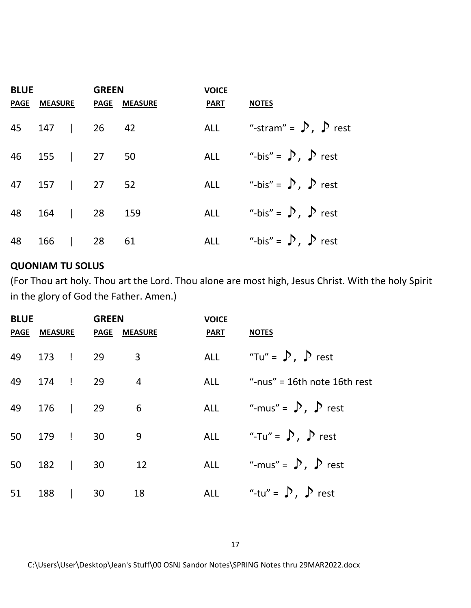| <b>BLUE</b>     | <b>GREEN</b> |                           | <b>VOICE</b> |                                     |
|-----------------|--------------|---------------------------|--------------|-------------------------------------|
|                 |              | PAGE MEASURE PAGE MEASURE | <b>PART</b>  | <b>NOTES</b>                        |
| 45 147   26 42  |              |                           |              | ALL "-stram" = $\int$ , $\int$ rest |
| 46 155   27 50  |              |                           |              | ALL "-bis" = $\sum$ , $\sum$ rest   |
| 47 157   27 52  |              |                           |              | ALL "-bis" = $\sum$ , $\sum$ rest   |
| 48 164   28 159 |              |                           |              | ALL "-bis" = $\sum$ , $\sum$ rest   |
| 48 166   28 61  |              |                           |              | ALL "-bis" = $\int$ , $\int$ rest   |

#### **QUONIAM TU SOLUS**

(For Thou art holy. Thou art the Lord. Thou alone are most high, Jesus Christ. With the holy Spirit in the glory of God the Father. Amen.)

| <b>BLUE</b> |              | <b>GREEN</b> |                     | <b>VOICE</b> |                                   |
|-------------|--------------|--------------|---------------------|--------------|-----------------------------------|
|             | PAGE MEASURE |              | <b>PAGE MEASURE</b> | <b>PART</b>  | <b>NOTES</b>                      |
|             | 49 173 ! 29  |              | 3                   |              | ALL "Tu" = $\int$ , $\int$ rest   |
|             | 49 174 ! 29  |              | $\overline{4}$      |              | ALL "-nus" = 16th note 16th rest  |
|             | 49 176   29  |              | $\overline{6}$      |              | ALL "-mus" = $\int$ , $\int$ rest |
| 50          | 179 ! 30     |              | $\overline{9}$      |              | ALL "-Tu" = $\sum$ , $\sum$ rest  |
|             | 50 182   30  |              | 12                  |              | ALL "-mus" = $\int$ , $\int$ rest |
|             | 51 188   30  |              | 18                  |              | ALL "-tu" = $\int$ , $\int$ rest  |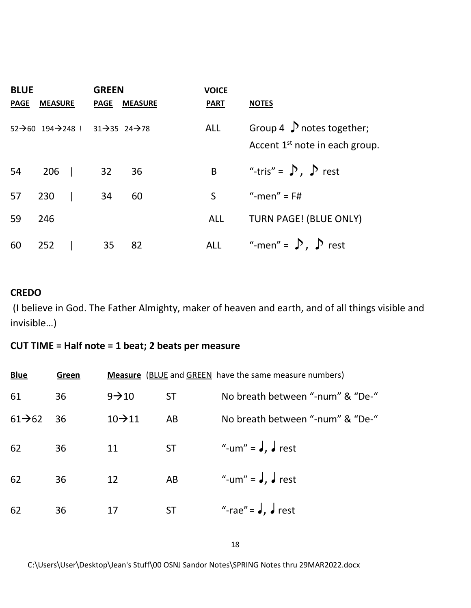| <b>BLUE</b> |                                                                                 | <b>GREEN</b> |                | <b>VOICE</b>   |                                                                              |
|-------------|---------------------------------------------------------------------------------|--------------|----------------|----------------|------------------------------------------------------------------------------|
| <b>PAGE</b> | <b>MEASURE</b>                                                                  | <b>PAGE</b>  | <b>MEASURE</b> | <b>PART</b>    | <b>NOTES</b>                                                                 |
|             | $52\rightarrow 60$ $194\rightarrow 248$ ! $31\rightarrow 35$ $24\rightarrow 78$ |              |                | <b>ALL</b>     | Group 4 $\int$ notes together;<br>Accent 1 <sup>st</sup> note in each group. |
| 54          | $206$                                                                           | 32           | 36             | B <sub>1</sub> | "-tris" = $\sum$ , $\sum$ rest                                               |
| 57          | 230                                                                             | 34           | 60             | S              | "-men" = $F#$                                                                |
| 59          | 246                                                                             |              |                | <b>ALL</b>     | TURN PAGE! (BLUE ONLY)                                                       |
| 60          | 252                                                                             | 35           | 82             | <b>ALL</b>     | "-men" = $\sum$ , $\sum$ rest                                                |

#### **CREDO**

(I believe in God. The Father Almighty, maker of heaven and earth, and of all things visible and invisible…)

#### **CUT TIME = Half note = 1 beat; 2 beats per measure**

| <b>Blue</b>         | Green |                     |           | <b>Measure</b> (BLUE and GREEN have the same measure numbers) |
|---------------------|-------|---------------------|-----------|---------------------------------------------------------------|
| 61                  | 36    | $9 - 10$            | <b>ST</b> | No breath between "-num" & "De-"                              |
| $61 \rightarrow 62$ | 36    | $10 \rightarrow 11$ | AB        | No breath between "-num" & "De-"                              |
| 62                  | 36    | 11                  | <b>ST</b> | "-um" = $J, J$ rest                                           |
| 62                  | 36    | 12                  | AB        | "-um" = $J, J$ rest                                           |
| 62                  | 36    | 17                  | <b>ST</b> | "-rae" = $J, J$ rest                                          |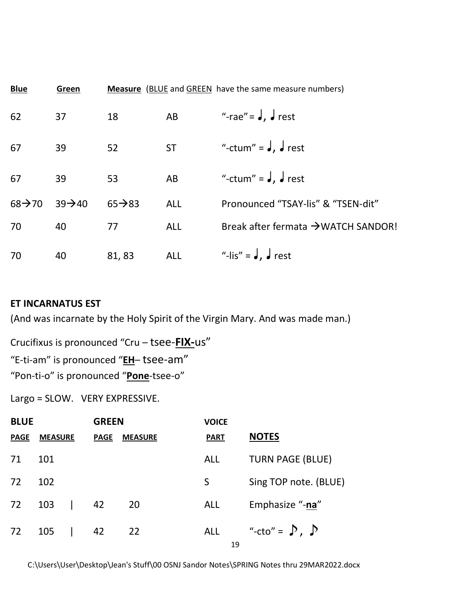| <b>Blue</b>         | Green               |                     |            | <b>Measure</b> (BLUE and GREEN have the same measure numbers) |
|---------------------|---------------------|---------------------|------------|---------------------------------------------------------------|
| 62                  | 37                  | 18                  | AB         | "-rae" = $J, J$ rest                                          |
| 67                  | 39                  | 52                  | <b>ST</b>  | "-ctum" = $J, J$ rest                                         |
| 67                  | 39                  | 53                  | AB         | "-ctum" = $J, J$ rest                                         |
| $68 \rightarrow 70$ | $39 \rightarrow 40$ | $65 \rightarrow 83$ | <b>ALL</b> | Pronounced "TSAY-lis" & "TSEN-dit"                            |
| 70                  | 40                  | 77                  | <b>ALL</b> | Break after fermata →WATCH SANDOR!                            |
| 70                  | 40                  | 81, 83              | <b>ALL</b> | "-lis" = $J, J$ rest                                          |

#### **ET INCARNATUS EST**

(And was incarnate by the Holy Spirit of the Virgin Mary. And was made man.)

Crucifixus is pronounced "Cru – tsee-**FIX-**us" "E-ti-am" is pronounced "**EH**– tsee-am" "Pon-ti-o" is pronounced "**Pone**-tsee-o"

Largo = SLOW. VERY EXPRESSIVE.

| <b>BLUE</b> |                | <b>GREEN</b> |             | <b>VOICE</b>   |             |    |                          |
|-------------|----------------|--------------|-------------|----------------|-------------|----|--------------------------|
| <b>PAGE</b> | <b>MEASURE</b> |              | <b>PAGE</b> | <b>MEASURE</b> | <b>PART</b> |    | <b>NOTES</b>             |
| 71          | 101            |              |             |                | <b>ALL</b>  |    | <b>TURN PAGE (BLUE)</b>  |
| 72          | 102            |              |             |                | S.          |    | Sing TOP note. (BLUE)    |
| 72          | 103            | $\mathbf{I}$ | 42          | 20             | <b>ALL</b>  |    | Emphasize "-na"          |
| 72          | 105            |              | 42          | 22             | ALL         | 19 | "-cto" = $\sum$ , $\sum$ |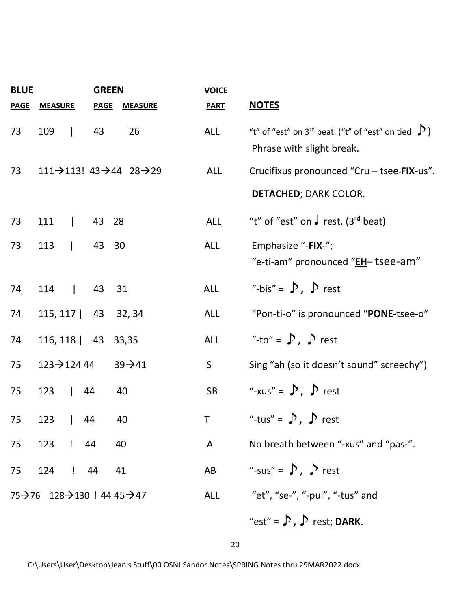| <b>BLUE</b> |                          | <b>GREEN</b>                                      |                                                                | <b>VOICE</b> |                                                                                                   |
|-------------|--------------------------|---------------------------------------------------|----------------------------------------------------------------|--------------|---------------------------------------------------------------------------------------------------|
| <b>PAGE</b> | <b>MEASURE</b>           | <b>PAGE</b>                                       | <b>MEASURE</b>                                                 | <b>PART</b>  | <b>NOTES</b>                                                                                      |
| 73          | 109                      | 43                                                | 26                                                             | <b>ALL</b>   | "t" of "est" on 3 <sup>rd</sup> beat. ("t" of "est" on tied $\sum$ )<br>Phrase with slight break. |
| 73          |                          |                                                   | 111 $\rightarrow$ 113! 43 $\rightarrow$ 44 28 $\rightarrow$ 29 | ALL          | Crucifixus pronounced "Cru - tsee-FIX-us".                                                        |
|             |                          |                                                   |                                                                |              | <b>DETACHED; DARK COLOR.</b>                                                                      |
| 73          | 111                      | $\begin{array}{ccc} & 43 & 28 \\ & & \end{array}$ |                                                                | <b>ALL</b>   | "t" of "est" on $\sqrt{ }$ rest. (3 <sup>rd</sup> beat)                                           |
| 73          | 113   43 30              |                                                   |                                                                | <b>ALL</b>   | Emphasize "-FIX-";<br>"e-ti-am" pronounced " <b>EH</b> - tsee-am"                                 |
| 74          | 114   43 31              |                                                   |                                                                | <b>ALL</b>   | "-bis" = $\sum$ , $\sum$ rest                                                                     |
| 74          | 115, 117   43 32, 34     |                                                   |                                                                | <b>ALL</b>   | "Pon-ti-o" is pronounced "PONE-tsee-o"                                                            |
| 74          | 116, 118   43 33, 35     |                                                   |                                                                | ALL          | "-to" = $\sum$ , $\sum$ rest                                                                      |
| 75          | $123 \rightarrow 12444$  |                                                   | $39 - 41$                                                      | $\mathsf{S}$ | Sing "ah (so it doesn't sound" screechy")                                                         |
| 75          | 123                      | 44                                                | 40                                                             | <b>SB</b>    | "-xus" = $\sum$ , $\sum$ rest                                                                     |
| 75          | 123                      | 44                                                | 40                                                             | T            | "-tus" = $\sum$ , $\sum$ rest                                                                     |
| 75          | 123 ! 44                 |                                                   | 40                                                             | A            | No breath between "-xus" and "pas-".                                                              |
| 75          | 124 ! 44                 |                                                   | 41                                                             | AB           | "-sus" = $\sum$ , $\sum$ rest                                                                     |
|             | 75→76 128→130 ! 44 45→47 |                                                   |                                                                | <b>ALL</b>   | "et", "se-", "-pul", "-tus" and                                                                   |
|             |                          |                                                   |                                                                |              | "est" = $\sum$ , $\sum$ rest; DARK.                                                               |

20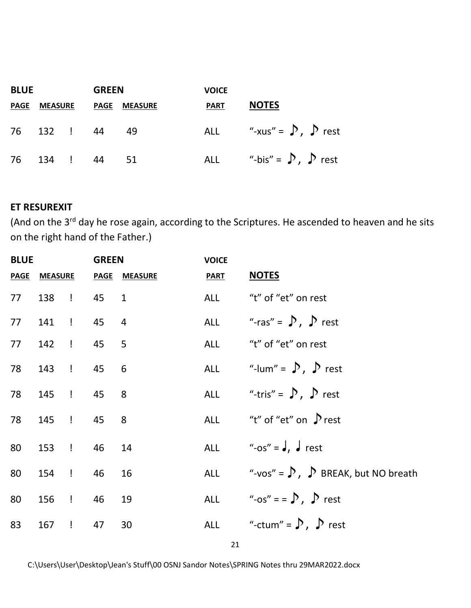| <b>BLUE</b> |                | <b>GREEN</b> |             | <b>VOICE</b>   |             |                                   |
|-------------|----------------|--------------|-------------|----------------|-------------|-----------------------------------|
| <b>PAGE</b> | <b>MEASURE</b> |              | <b>PAGE</b> | <b>MEASURE</b> | <b>PART</b> | <b>NOTES</b>                      |
| 76          | 132 ! 44       |              |             | 49             |             | ALL "-xus" = $\int$ , $\int$ rest |
| 76          | 134 !          |              | 44          | - 51           |             | ALL "-bis" = $\sum$ , $\sum$ rest |

#### **ET RESUREXIT**

(And on the 3<sup>rd</sup> day he rose again, according to the Scriptures. He ascended to heaven and he sits on the right hand of the Father.)

| <b>BLUE</b> |                    | <b>GREEN</b> |                           | <b>VOICE</b>      |                                                           |
|-------------|--------------------|--------------|---------------------------|-------------------|-----------------------------------------------------------|
|             |                    |              | PAGE MEASURE PAGE MEASURE | <b>PART NOTES</b> |                                                           |
|             | 77 138 ! 45 1      |              |                           |                   | ALL "t" of "et" on rest                                   |
|             | 77 141 ! 45 4      |              |                           |                   | ALL "-ras" = $\bigtriangledown$ , $\bigtriangledown$ rest |
|             | 77 142 ! 45 5      |              |                           |                   | ALL "t" of "et" on rest                                   |
|             | 78 143 ! 45 6      |              |                           |                   | ALL "-lum" = $\sum$ , $\sum$ rest                         |
|             | 78 145 ! 45 8      |              |                           |                   | ALL "-tris" = $\int$ , $\int$ rest                        |
|             | 78 145 ! 45 8      |              |                           |                   | ALL $''t''$ of "et" on $\int$ rest                        |
|             | 80 153 ! 46 14     |              |                           |                   | ALL "-os" = $J$ , $J$ rest                                |
|             | 80  154  !  46  16 |              |                           |                   | ALL $"$ -vos" = $\sum$ , $\sum$ BREAK, but NO breath      |
|             | 80 156 ! 46 19     |              |                           |                   | ALL "-os" = = $\sum$ , $\sum$ rest                        |
|             | 83 167 ! 47 30     |              |                           |                   | ALL "-ctum" = $\sum$ , $\sum$ rest                        |
|             |                    |              |                           |                   |                                                           |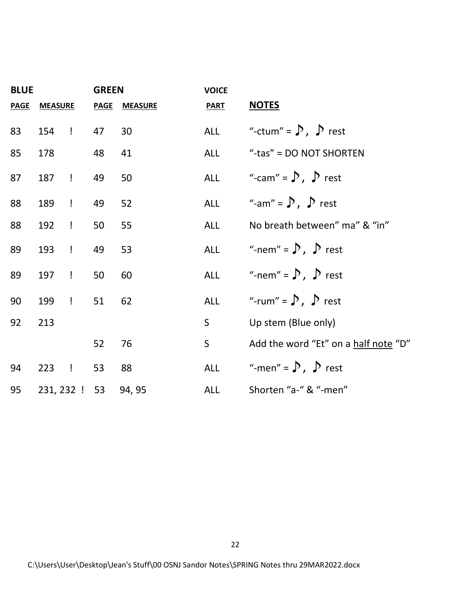| <b>BLUE</b> |                |               | <b>GREEN</b> |                      | <b>VOICE</b> |                                      |
|-------------|----------------|---------------|--------------|----------------------|--------------|--------------------------------------|
| <b>PAGE</b> | <b>MEASURE</b> |               |              | <b>PAGE MEASURE</b>  | <b>PART</b>  | <b>NOTES</b>                         |
| 83          | 154 ! 47       |               |              | 30                   |              | ALL "-ctum" = $\sum$ , $\sum$ rest   |
| 85          | 178            |               | 48           | 41                   | ALL          | "-tas" = DO NOT SHORTEN              |
| 87          | 187            | $\mathbf{I}$  | 49           | 50                   |              | ALL "-cam" = $\sum$ , $\sum$ rest    |
| 88          | 189            | $\frac{1}{2}$ | 49           | 52                   |              | ALL "-am" = $\sum$ , $\sum$ rest     |
| 88          | 192            | $\frac{1}{2}$ | 50           | 55                   | ALL          | No breath between" ma" & "in"        |
| 89          | 193            | $\mathbf{I}$  | 49           | 53                   |              | ALL "-nem" = $\sum$ , $\sum$ rest    |
| 89          | 197            | $\mathbf{I}$  | 50           | 60                   |              | ALL "-nem" = $\sum$ , $\sum$ rest    |
| 90          | 199            | $\mathbf{I}$  | 51           | 62                   |              | ALL "-rum" = $\sum$ , $\sum$ rest    |
| 92          | 213            |               |              |                      | $S_{\cdot}$  | Up stem (Blue only)                  |
|             |                |               | 52           | 76                   | $\mathsf{S}$ | Add the word "Et" on a half note "D" |
| 94          | 223            | $\mathbf{I}$  | 53           | 88                   |              | ALL "-men" = $\sum$ , $\sum$ rest    |
| 95          |                |               |              | 231, 232 ! 53 94, 95 | ALL          | Shorten "a-" & "-men"                |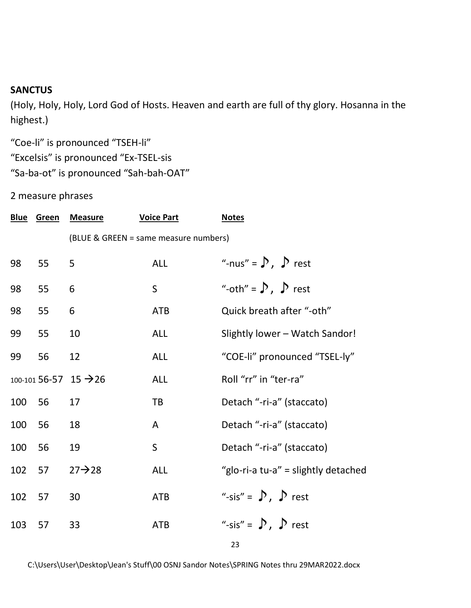#### **SANCTUS**

(Holy, Holy, Holy, Lord God of Hosts. Heaven and earth are full of thy glory. Hosanna in the highest.)

"Coe-li" is pronounced "TSEH-li" "Excelsis" is pronounced "Ex-TSEL-sis

"Sa-ba-ot" is pronounced "Sah-bah-OAT"

2 measure phrases

|     | <b>Blue Green</b> | <b>Measure</b>                    | <b>Voice Part</b>                     | <b>Notes</b>                        |
|-----|-------------------|-----------------------------------|---------------------------------------|-------------------------------------|
|     |                   |                                   | (BLUE & GREEN = same measure numbers) |                                     |
| 98  | 55                | 5                                 | <b>ALL</b>                            | "-nus" = $\sum$ , $\sum$ rest       |
| 98  | 55                | 6                                 | $\mathsf{S}$                          | "-oth" = $\sum$ , $\sum$ rest       |
| 98  | 55                | 6                                 | <b>ATB</b>                            | Quick breath after "-oth"           |
| 99  | 55                | 10                                | <b>ALL</b>                            | Slightly lower - Watch Sandor!      |
| 99  | 56                | 12                                | <b>ALL</b>                            | "COE-li" pronounced "TSEL-ly"       |
|     |                   | 100-101 56-57 15 $\rightarrow$ 26 | <b>ALL</b>                            | Roll "rr" in "ter-ra"               |
| 100 | 56                | 17                                | TB                                    | Detach "-ri-a" (staccato)           |
| 100 | 56                | 18                                | A                                     | Detach "-ri-a" (staccato)           |
| 100 | 56                | 19                                | $\mathsf S$                           | Detach "-ri-a" (staccato)           |
| 102 | 57                | $27 \rightarrow 28$               | <b>ALL</b>                            | "glo-ri-a tu-a" = slightly detached |
| 102 | 57                | 30                                | <b>ATB</b>                            | "-sis" = $\sum$ , $\sum$ rest       |
| 103 | 57                | 33                                | <b>ATB</b>                            | "-sis" = $\sum$ , $\sum$ rest       |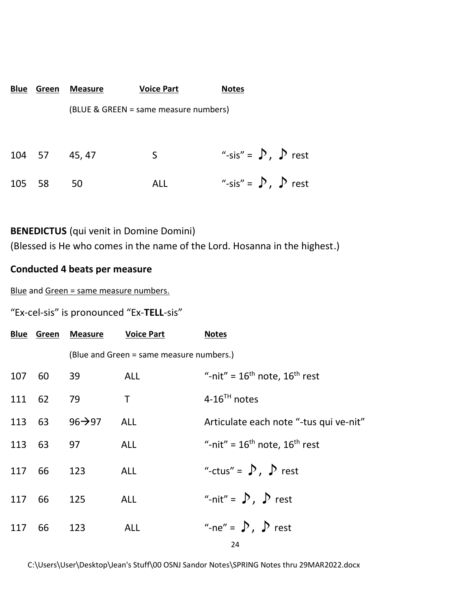| Blue   | Green | Measure | <b>Voice Part</b>                     | <b>Notes</b>                  |
|--------|-------|---------|---------------------------------------|-------------------------------|
|        |       |         | (BLUE & GREEN = same measure numbers) |                               |
| 104 57 |       | 45, 47  | S                                     | "-sis" = $\sum$ , $\sum$ rest |
| 105    | 58    | 50      | ALL                                   | "-sis" = $\sum$ , $\sum$ rest |

#### **BENEDICTUS** (qui venit in Domine Domini)

(Blessed is He who comes in the name of the Lord. Hosanna in the highest.)

#### **Conducted 4 beats per measure**

Blue and Green = same measure numbers.

#### "Ex-cel-sis" is pronounced "Ex-**TELL**-sis"

|        |        | <b>Blue Green Measure</b> | <b>Voice Part</b>                        | <b>Notes</b>                           |
|--------|--------|---------------------------|------------------------------------------|----------------------------------------|
|        |        |                           | (Blue and Green = same measure numbers.) |                                        |
| 107    | 60     | 39                        | ALL                                      | "-nit" = $16th$ note, $16th$ rest      |
| 111 62 |        | 79                        | T.                                       | $4-16^{TH}$ notes                      |
| 113 63 |        | $96 \rightarrow 97$       | <b>ALL</b>                               | Articulate each note "-tus qui ve-nit" |
|        | 113 63 | 97                        | <b>ALL</b>                               | "-nit" = $16th$ note, $16th$ rest      |
| 117 66 |        | 123                       | <b>ALL</b>                               | "-ctus" = $\sum$ , $\sum$ rest         |
| 117 66 |        | 125                       | <b>ALL</b>                               | "-nit" = $\sum$ , $\sum$ rest          |
| 117    | 66     | 123                       | <b>ALL</b>                               | "-ne" = $\sum$ , $\sum$ rest           |

24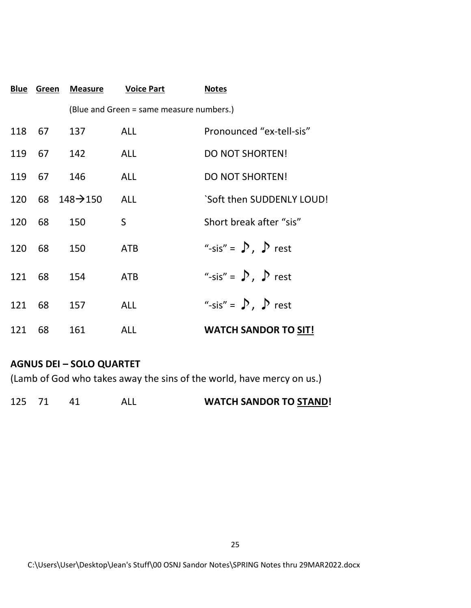|        | <b>Blue Green</b> | <b>Measure</b>               | <b>Voice Part</b>                        | <b>Notes</b>                  |
|--------|-------------------|------------------------------|------------------------------------------|-------------------------------|
|        |                   |                              | (Blue and Green = same measure numbers.) |                               |
| 118 67 |                   | 137                          | <b>ALL</b>                               | Pronounced "ex-tell-sis"      |
| 119 67 |                   | 142                          | <b>ALL</b>                               | <b>DO NOT SHORTEN!</b>        |
| 119 67 |                   | 146                          | <b>ALL</b>                               | <b>DO NOT SHORTEN!</b>        |
|        |                   | 120 68 148 $\rightarrow$ 150 | <b>ALL</b>                               | `Soft then SUDDENLY LOUD!     |
| 120    | 68                | 150                          | S                                        | Short break after "sis"       |
| 120    | 68                | 150                          | <b>ATB</b>                               | "-sis" = $\sum$ , $\sum$ rest |
| 121    | 68                | 154                          | <b>ATB</b>                               | "-sis" = $\sum$ , $\sum$ rest |
| 121    | 68                | 157                          | <b>ALL</b>                               | "-sis" = $\sum$ , $\sum$ rest |
| 121    | 68                | 161                          | <b>ALL</b>                               | <b>WATCH SANDOR TO SIT!</b>   |

#### **AGNUS DEI – SOLO QUARTET**

(Lamb of God who takes away the sins of the world, have mercy on us.)

| 125 |  |  |  | <b>WATCH SANDOR TO STAND!</b> |
|-----|--|--|--|-------------------------------|
|-----|--|--|--|-------------------------------|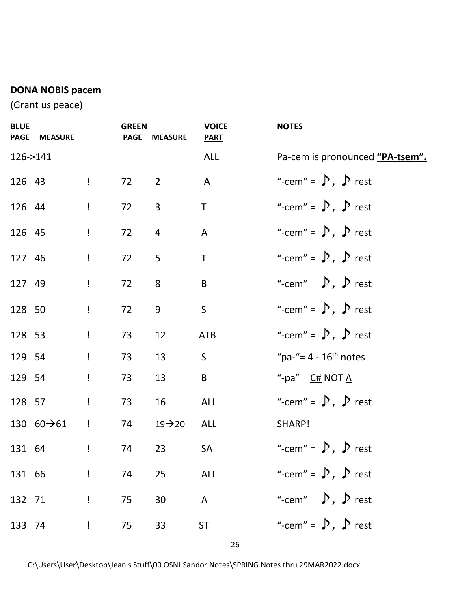# **DONA NOBIS pacem**

(Grant us peace)

| <b>BLUE</b> | PAGE MEASURE            |                                                | <b>GREEN</b><br><b>PAGE</b> | <b>MEASURE</b>      | <b>VOICE</b><br><b>PART</b> | <b>NOTES</b>                                 |
|-------------|-------------------------|------------------------------------------------|-----------------------------|---------------------|-----------------------------|----------------------------------------------|
|             | 126->141                |                                                |                             |                     | ALL                         | Pa-cem is pronounced "PA-tsem".              |
| 126 43      |                         | $\mathbf{1}$ and $\mathbf{1}$                  | 72                          | $2^{\circ}$         | $\mathsf{A}$                | "-cem" = $\sum$ , $\sum$ rest                |
| 126 44      |                         | $\mathbf{I}$                                   | 72                          | 3 <sup>1</sup>      | $\mathsf T$                 | "-cem" = $\sum$ , $\sum$ rest                |
| 126 45      |                         | $\mathbf{I}$                                   | 72                          | $\overline{4}$      | A                           | "-cem" = $\sum$ , $\sum$ rest                |
| 127 46      |                         | $\mathbf{I}$                                   | 72                          | 5                   | $\mathsf{T}$                | "-cem" = $\sum$ , $\sum$ rest                |
| 127 49      |                         | $\mathbf{I}$                                   | 72                          | 8                   | $\sf B$                     | "-cem" = $\sum$ , $\sum$ rest                |
| 128 50      |                         | $\mathbf{I}%$                                  | 72                          | 9                   | $\mathsf{S}$                | "-cem" = $\sum$ , $\sum$ rest                |
| 128 53      |                         | $\mathbf{I}$                                   | 73                          | 12                  | <b>ATB</b>                  | "-cem" = $\sum$ , $\sum$ rest                |
| 129 54      |                         | $\mathbf{I}$                                   | 73                          | 13                  | $\mathsf{S}$                | "pa-"= $4 - 16$ <sup>th</sup> notes          |
| 129 54      |                         | $\mathbf{I}$                                   | 73                          | 13                  | B                           | "-pa" = $\underline{C#}$ NOT $\underline{A}$ |
| 128 57      |                         | $\mathbf{I}$                                   | 73                          | 16                  | ALL                         | "-cem" = $\sum$ , $\sum$ rest                |
|             | 130 $60 \rightarrow 61$ | $\frac{1}{2}$                                  | 74                          | $19 \rightarrow 20$ | ALL                         | SHARP!                                       |
| 131 64      |                         | $\mathbf{I}$                                   | 74                          | 23                  | SA                          | "-cem" = $\sum$ , $\sum$ rest                |
| 131 66      |                         | $\mathbf{I}$ and $\mathbf{I}$ and $\mathbf{I}$ | 74                          | <b>ALL</b><br>25    |                             | "-cem" = $\sum$ , $\sum$ rest                |
|             | 132 71 1 75             |                                                |                             | <b>A</b><br>30      |                             | "-cem" = $\sum$ , $\sum$ rest                |
| 133 74      |                         | $\mathbf{I}$                                   | 75                          | 33                  | <b>ST</b>                   | "-cem" = $\sum$ , $\sum$ rest                |